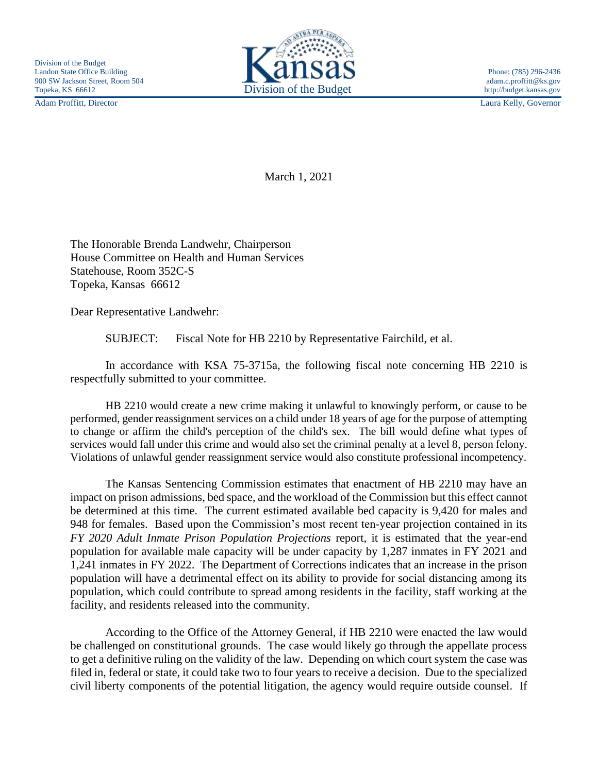Adam Proffitt, Director Laura Kelly, Governor



March 1, 2021

The Honorable Brenda Landwehr, Chairperson House Committee on Health and Human Services Statehouse, Room 352C-S Topeka, Kansas 66612

Dear Representative Landwehr:

SUBJECT: Fiscal Note for HB 2210 by Representative Fairchild, et al.

In accordance with KSA 75-3715a, the following fiscal note concerning HB 2210 is respectfully submitted to your committee.

HB 2210 would create a new crime making it unlawful to knowingly perform, or cause to be performed, gender reassignment services on a child under 18 years of age for the purpose of attempting to change or affirm the child's perception of the child's sex. The bill would define what types of services would fall under this crime and would also set the criminal penalty at a level 8, person felony. Violations of unlawful gender reassignment service would also constitute professional incompetency.

The Kansas Sentencing Commission estimates that enactment of HB 2210 may have an impact on prison admissions, bed space, and the workload of the Commission but this effect cannot be determined at this time. The current estimated available bed capacity is 9,420 for males and 948 for females. Based upon the Commission's most recent ten-year projection contained in its *FY 2020 Adult Inmate Prison Population Projections* report, it is estimated that the year-end population for available male capacity will be under capacity by 1,287 inmates in FY 2021 and 1,241 inmates in FY 2022. The Department of Corrections indicates that an increase in the prison population will have a detrimental effect on its ability to provide for social distancing among its population, which could contribute to spread among residents in the facility, staff working at the facility, and residents released into the community.

According to the Office of the Attorney General, if HB 2210 were enacted the law would be challenged on constitutional grounds. The case would likely go through the appellate process to get a definitive ruling on the validity of the law. Depending on which court system the case was filed in, federal or state, it could take two to four years to receive a decision. Due to the specialized civil liberty components of the potential litigation, the agency would require outside counsel. If